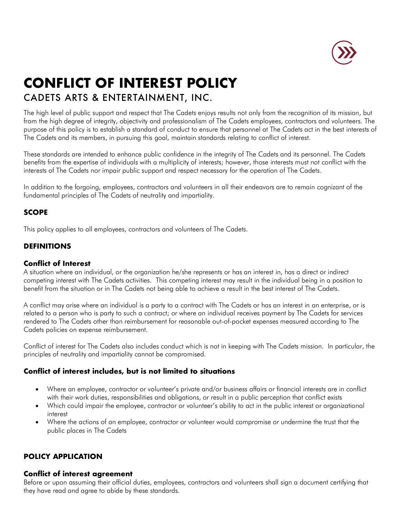

# **CONFLICT OF INTEREST POLICY** CADETS ARTS & ENTERTAINMENT, INC.

The high level of public support and respect that The Cadets enjoys results not only from the recognition of its mission, but from the high degree of integrity, objectivity and professionalism of The Cadets employees, contractors and volunteers. The purpose of this policy is to establish a standard of conduct to ensure that personnel at The Cadets act in the best interests of The Cadets and its members, in pursuing this goal, maintain standards relating to conflict of interest.

These standards are intended to enhance public confidence in the integrity of The Cadets and its personnel. The Cadets benefits from the expertise of individuals with a multiplicity of interests; however, those interests must not conflict with the interests of The Cadets nor impair public support and respect necessary for the operation of The Cadets.

In addition to the forgoing, employees, contractors and volunteers in all their endeavors are to remain cognizant of the fundamental principles of The Cadets of neutrality and impartiality.

# **SCOPE**

This policy applies to all employees, contractors and volunteers of The Cadets.

# **DEFINITIONS**

#### **Conflict of Interest**

A situation where an individual, or the organization he/she represents or has an interest in, has a direct or indirect competing interest with The Cadets activities. This competing interest may result in the individual being in a position to benefit from the situation or in The Cadets not being able to achieve a result in the best interest of The Cadets.

A conflict may arise where an individual is a party to a contract with The Cadets or has an interest in an enterprise, or is related to a person who is party to such a contract; or where an individual receives payment by The Cadets for services rendered to The Cadets other than reimbursement for reasonable out-of-pocket expenses measured according to The Cadets policies on expense reimbursement.

Conflict of interest for The Cadets also includes conduct which is not in keeping with The Cadets mission. In particular, the principles of neutrality and impartiality cannot be compromised.

# **Conflict of interest includes, but is not limited to situations**

- Where an employee, contractor or volunteer's private and/or business affairs or financial interests are in conflict with their work duties, responsibilities and obligations, or result in a public perception that conflict exists
- Which could impair the employee, contractor or volunteer's ability to act in the public interest or organizational interest
- Where the actions of an employee, contractor or volunteer would compromise or undermine the trust that the public places in The Cadets

# **POLICY APPLICATION**

#### **Conflict of interest agreement**

Before or upon assuming their official duties, employees, contractors and volunteers shall sign a document certifying that they have read and agree to abide by these standards.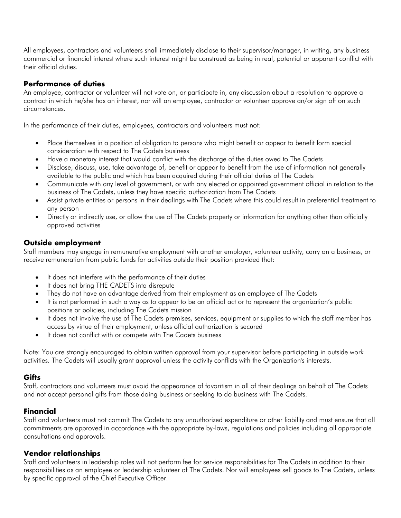All employees, contractors and volunteers shall immediately disclose to their supervisor/manager, in writing, any business commercial or financial interest where such interest might be construed as being in real, potential or apparent conflict with their official duties.

## **Performance of duties**

An employee, contractor or volunteer will not vote on, or participate in, any discussion about a resolution to approve a contract in which he/she has an interest, nor will an employee, contractor or volunteer approve an/or sign off on such circumstances.

In the performance of their duties, employees, contractors and volunteers must not:

- Place themselves in a position of obligation to persons who might benefit or appear to benefit form special consideration with respect to The Cadets business
- Have a monetary interest that would conflict with the discharge of the duties owed to The Cadets
- Disclose, discuss, use, take advantage of, benefit or appear to benefit from the use of information not generally available to the public and which has been acquired during their official duties of The Cadets
- Communicate with any level of government, or with any elected or appointed government official in relation to the business of The Cadets, unless they have specific authorization from The Cadets
- Assist private entities or persons in their dealings with The Cadets where this could result in preferential treatment to any person
- Directly or indirectly use, or allow the use of The Cadets property or information for anything other than officially approved activities

#### **Outside employment**

Staff members may engage in remunerative employment with another employer, volunteer activity, carry on a business, or receive remuneration from public funds for activities outside their position provided that:

- It does not interfere with the performance of their duties
- It does not bring THE CADETS into disrepute
- They do not have an advantage derived from their employment as an employee of The Cadets
- It is not performed in such a way as to appear to be an official act or to represent the organization's public positions or policies, including The Cadets mission
- It does not involve the use of The Cadets premises, services, equipment or supplies to which the staff member has access by virtue of their employment, unless official authorization is secured
- It does not conflict with or compete with The Cadets business

Note: You are strongly encouraged to obtain written approval from your supervisor before participating in outside work activities. The Cadets will usually grant approval unless the activity conflicts with the Organization's interests.

#### **Gifts**

Staff, contractors and volunteers must avoid the appearance of favoritism in all of their dealings on behalf of The Cadets and not accept personal gifts from those doing business or seeking to do business with The Cadets.

# **Financial**

Staff and volunteers must not commit The Cadets to any unauthorized expenditure or other liability and must ensure that all commitments are approved in accordance with the appropriate by-laws, regulations and policies including all appropriate consultations and approvals.

#### **Vendor relationships**

Staff and volunteers in leadership roles will not perform fee for service responsibilities for The Cadets in addition to their responsibilities as an employee or leadership volunteer of The Cadets. Nor will employees sell goods to The Cadets, unless by specific approval of the Chief Executive Officer.